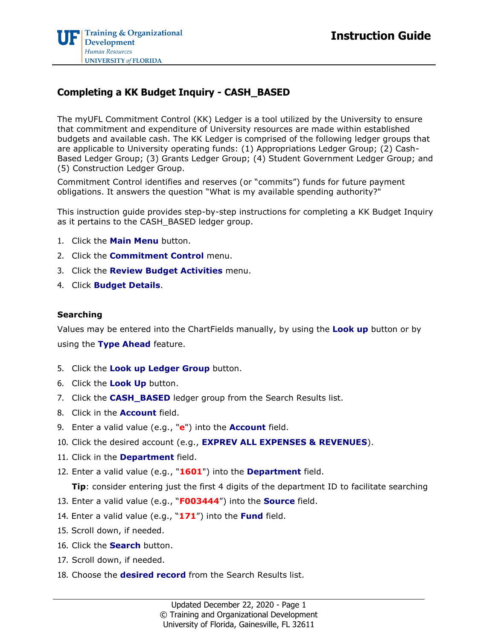## **Completing a KK Budget Inquiry - CASH\_BASED**

The myUFL Commitment Control (KK) Ledger is a tool utilized by the University to ensure that commitment and expenditure of University resources are made within established budgets and available cash. The KK Ledger is comprised of the following ledger groups that are applicable to University operating funds: (1) Appropriations Ledger Group; (2) Cash-Based Ledger Group; (3) Grants Ledger Group; (4) Student Government Ledger Group; and (5) Construction Ledger Group.

Commitment Control identifies and reserves (or "commits") funds for future payment obligations. It answers the question "What is my available spending authority?"

This instruction guide provides step-by-step instructions for completing a KK Budget Inquiry as it pertains to the CASH\_BASED ledger group.

- 1. Click the **Main Menu** button.
- 2. Click the **Commitment Control** menu.
- 3. Click the **Review Budget Activities** menu.
- 4. Click **Budget Details**.

## **Searching**

Values may be entered into the ChartFields manually, by using the **Look up** button or by using the **Type Ahead** feature.

- 5. Click the **Look up Ledger Group** button.
- 6. Click the **Look Up** button.
- 7. Click the **CASH\_BASED** ledger group from the Search Results list.
- 8. Click in the **Account** field.
- 9. Enter a valid value (e.g., "**e**") into the **Account** field.
- 10. Click the desired account (e.g., **EXPREV ALL EXPENSES & REVENUES**).
- 11. Click in the **Department** field.
- 12. Enter a valid value (e.g., "**1601**") into the **Department** field.

**Tip**: consider entering just the first 4 digits of the department ID to facilitate searching

- 13. Enter a valid value (e.g., "**F003444**") into the **Source** field.
- 14. Enter a valid value (e.g., "**171**") into the **Fund** field.
- 15. Scroll down, if needed.
- 16. Click the **Search** button.
- 17. Scroll down, if needed.
- 18. Choose the **desired record** from the Search Results list.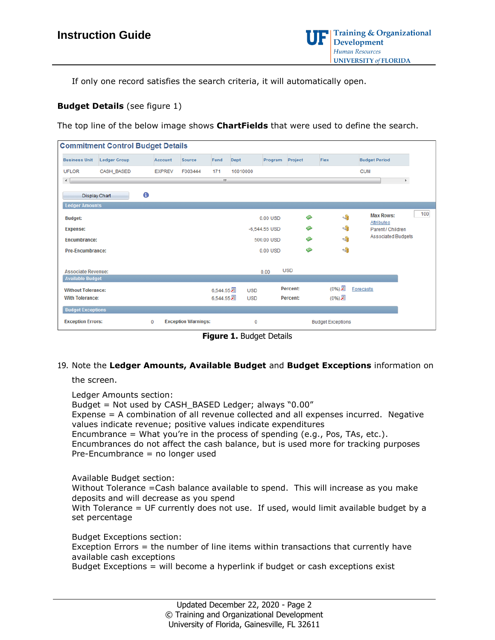If only one record satisfies the search criteria, it will automatically open.

## **Budget Details** (see figure 1)

The top line of the below image shows **ChartFields** that were used to define the search.

| <b>Commitment Control Budget Details</b>                    |                     |  |               |            |            |            |                          |                 |  |                             |                                       |     |
|-------------------------------------------------------------|---------------------|--|---------------|------------|------------|------------|--------------------------|-----------------|--|-----------------------------|---------------------------------------|-----|
| <b>Business Unit</b>                                        | <b>Ledger Group</b> |  | Account       | Source     | Fund       | Dept       | Program                  | Project         |  | Flex                        | <b>Budget Period</b>                  |     |
| <b>UFLOR</b>                                                | CASH_BASED          |  | <b>EXPREV</b> | F003444    | 171        | 16010000   |                          |                 |  |                             | <b>CUM</b>                            |     |
| $\rightarrow$                                               | $\mathbf{m}$<br>P.  |  |               |            |            |            |                          |                 |  |                             |                                       |     |
| <b>Display Chart</b>                                        | 0                   |  |               |            |            |            |                          |                 |  |                             |                                       |     |
| <b>Ledger Amounts</b>                                       |                     |  |               |            |            |            |                          |                 |  |                             |                                       |     |
| <b>Budget:</b>                                              |                     |  |               |            |            |            | $0.00$ USD               | չ               |  | $\leftarrow$                | <b>Max Rows:</b><br><b>Attributes</b> | 100 |
| <b>Expense:</b>                                             |                     |  |               |            |            |            | $-6,544.55$ USD          | ا©              |  | $\leftrightarrow$           | Parent / Children                     |     |
| <b>Encumbrance:</b>                                         |                     |  |               | 500.00 USD |            |            |                          | ا©              |  | $\leftarrow$                | <b>Associated Budgets</b>             |     |
| <b>Pre-Encumbrance:</b>                                     |                     |  |               |            |            | 0.00 USD   |                          |                 |  | 国                           |                                       |     |
|                                                             |                     |  |               |            |            |            |                          |                 |  |                             |                                       |     |
| <b>Associate Revenue:</b>                                   |                     |  |               |            |            |            | 0.00                     | <b>USD</b>      |  |                             |                                       |     |
| <b>Available Budget</b>                                     |                     |  |               |            |            |            |                          |                 |  |                             |                                       |     |
| <b>Without Tolerance:</b>                                   |                     |  |               |            | 6,544.55 周 | <b>USD</b> |                          | <b>Percent:</b> |  | (0%)题                       | <b>Forecasts</b>                      |     |
| <b>With Tolerance:</b>                                      |                     |  |               |            | 6,544.55 周 | <b>USD</b> |                          | <b>Percent:</b> |  | $(\sqrt{8}$ ( $\sqrt{80}$ ) |                                       |     |
| <b>Budget Exceptions</b>                                    |                     |  |               |            |            |            |                          |                 |  |                             |                                       |     |
| <b>Exception Errors:</b><br><b>Exception Warnings:</b><br>0 |                     |  | 0             |            |            |            | <b>Budget Exceptions</b> |                 |  |                             |                                       |     |

**Figure 1.** Budget Details

## 19. Note the **Ledger Amounts, Available Budget** and **Budget Exceptions** information on

the screen.

Ledger Amounts section:

Budget = Not used by CASH\_BASED Ledger; always "0.00" Expense = A combination of all revenue collected and all expenses incurred. Negative values indicate revenue; positive values indicate expenditures Encumbrance = What you're in the process of spending  $(e.q., Pos, Tas, etc.).$ Encumbrances do not affect the cash balance, but is used more for tracking purposes Pre-Encumbrance = no longer used

Available Budget section: Without Tolerance =Cash balance available to spend. This will increase as you make deposits and will decrease as you spend With Tolerance = UF currently does not use. If used, would limit available budget by a set percentage

Budget Exceptions section:

Exception Errors = the number of line items within transactions that currently have available cash exceptions

Budget Exceptions = will become a hyperlink if budget or cash exceptions exist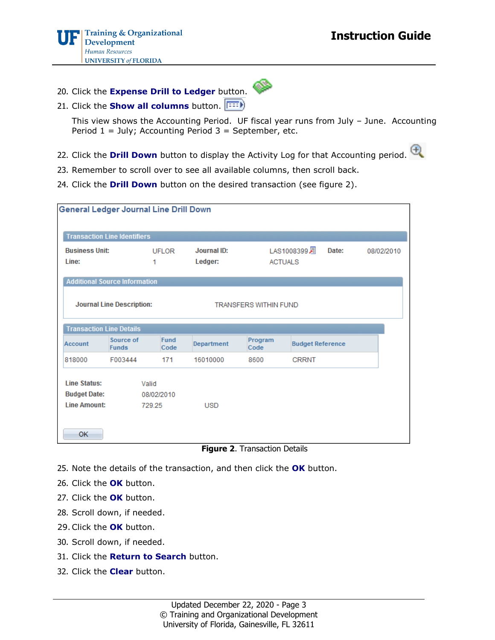20. Click the **Expense Drill to Ledger** button.



21. Click the **Show all columns** button.

This view shows the Accounting Period. UF fiscal year runs from July – June. Accounting Period  $1 =$  July; Accounting Period  $3 =$  September, etc.

- 22. Click the **Drill Down** button to display the Activity Log for that Accounting period.
- 23. Remember to scroll over to see all available columns, then scroll back.
- 24. Click the **Drill Down** button on the desired transaction (see figure 2).

| <b>General Ledger Journal Line Drill Down</b>                     |                                      |                     |                              |                      |                                                    |            |  |  |  |  |  |
|-------------------------------------------------------------------|--------------------------------------|---------------------|------------------------------|----------------------|----------------------------------------------------|------------|--|--|--|--|--|
|                                                                   | <b>Transaction Line Identifiers</b>  |                     |                              |                      |                                                    |            |  |  |  |  |  |
| <b>Business Unit:</b><br>Line:                                    |                                      | <b>UFLOR</b><br>1   | Journal ID:<br>Ledger:       |                      | LAS1008399 <sub>2</sub><br>Date:<br><b>ACTUALS</b> | 08/02/2010 |  |  |  |  |  |
|                                                                   | <b>Additional Source Information</b> |                     |                              |                      |                                                    |            |  |  |  |  |  |
|                                                                   | <b>Journal Line Description:</b>     |                     | <b>TRANSFERS WITHIN FUND</b> |                      |                                                    |            |  |  |  |  |  |
| <b>Transaction Line Details</b>                                   |                                      |                     |                              |                      |                                                    |            |  |  |  |  |  |
| Account                                                           | Source of<br><b>Funds</b>            | <b>Fund</b><br>Code | Department                   | Program<br>Code      | <b>Budget Reference</b>                            |            |  |  |  |  |  |
| 818000                                                            | F003444                              | 171                 | 16010000                     | 8600                 | <b>CRRNT</b>                                       |            |  |  |  |  |  |
| <b>Line Status:</b><br>Valid<br><b>Budget Date:</b><br>08/02/2010 |                                      |                     |                              |                      |                                                    |            |  |  |  |  |  |
| <b>Line Amount:</b>                                               |                                      | 729.25              | <b>USD</b>                   |                      |                                                    |            |  |  |  |  |  |
| OK                                                                |                                      |                     | --                           | $ -$<br>$\mathbf{r}$ | .                                                  |            |  |  |  |  |  |

**Figure 2**. Transaction Details

- 25. Note the details of the transaction, and then click the **OK** button.
- 26. Click the **OK** button.
- 27. Click the **OK** button.
- 28. Scroll down, if needed.
- 29.Click the **OK** button.
- 30. Scroll down, if needed.
- 31. Click the **Return to Search** button.
- 32. Click the **Clear** button.